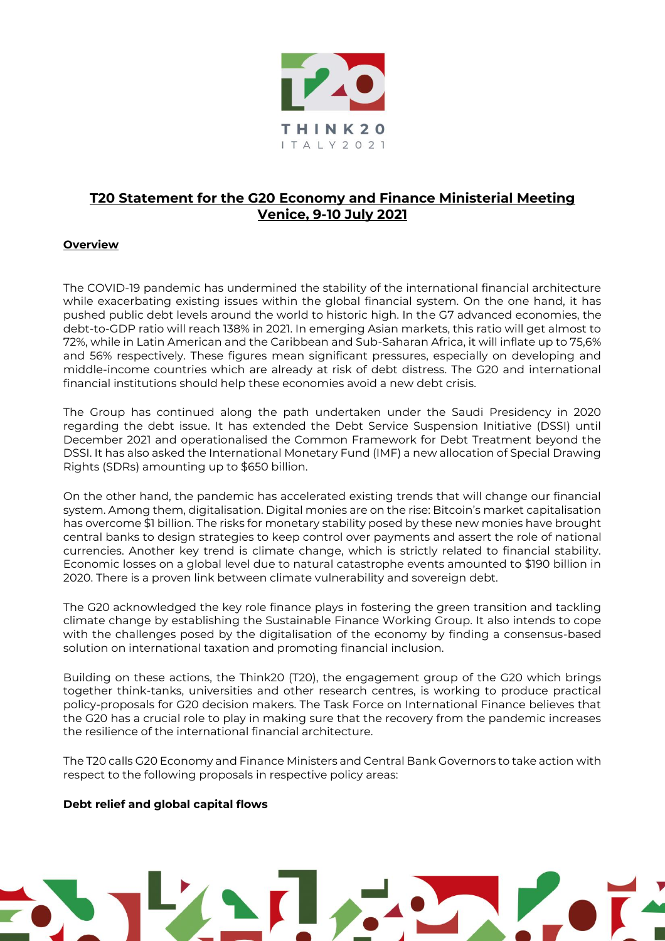

# **T20 Statement for the G20 Economy and Finance Ministerial Meeting Venice, 9-10 July 2021**

## **Overview**

The COVID-19 pandemic has undermined the stability of the international financial architecture while exacerbating existing issues within the global financial system. On the one hand, it has pushed public debt levels around the world to historic high. In the G7 advanced economies, the debt-to-GDP ratio will reach 138% in 2021. In emerging Asian markets, this ratio will get almost to 72%, while in Latin American and the Caribbean and Sub-Saharan Africa, it will inflate up to 75,6% and 56% respectively. These figures mean significant pressures, especially on developing and middle-income countries which are already at risk of debt distress. The G20 and international financial institutions should help these economies avoid a new debt crisis.

The Group has continued along the path undertaken under the Saudi Presidency in 2020 regarding the debt issue. It has extended the Debt Service Suspension Initiative (DSSI) until December 2021 and operationalised the Common Framework for Debt Treatment beyond the DSSI. It has also asked the International Monetary Fund (IMF) a new allocation of Special Drawing Rights (SDRs) amounting up to \$650 billion.

On the other hand, the pandemic has accelerated existing trends that will change our financial system. Among them, digitalisation. Digital monies are on the rise: Bitcoin's market capitalisation has overcome \$1 billion. The risks for monetary stability posed by these new monies have brought central banks to design strategies to keep control over payments and assert the role of national currencies. Another key trend is climate change, which is strictly related to financial stability. Economic losses on a global level due to natural catastrophe events amounted to \$190 billion in 2020. There is a proven link between climate vulnerability and sovereign debt.

The G20 acknowledged the key role finance plays in fostering the green transition and tackling climate change by establishing the Sustainable Finance Working Group. It also intends to cope with the challenges posed by the digitalisation of the economy by finding a consensus-based solution on international taxation and promoting financial inclusion.

Building on these actions, the Think20 (T20), the engagement group of the G20 which brings together think-tanks, universities and other research centres, is working to produce practical policy-proposals for G20 decision makers. The Task Force on International Finance believes that the G20 has a crucial role to play in making sure that the recovery from the pandemic increases the resilience of the international financial architecture.

The T20 calls G20 Economy and Finance Ministers and Central Bank Governors to take action with respect to the following proposals in respective policy areas:

#### **Debt relief and global capital flows**

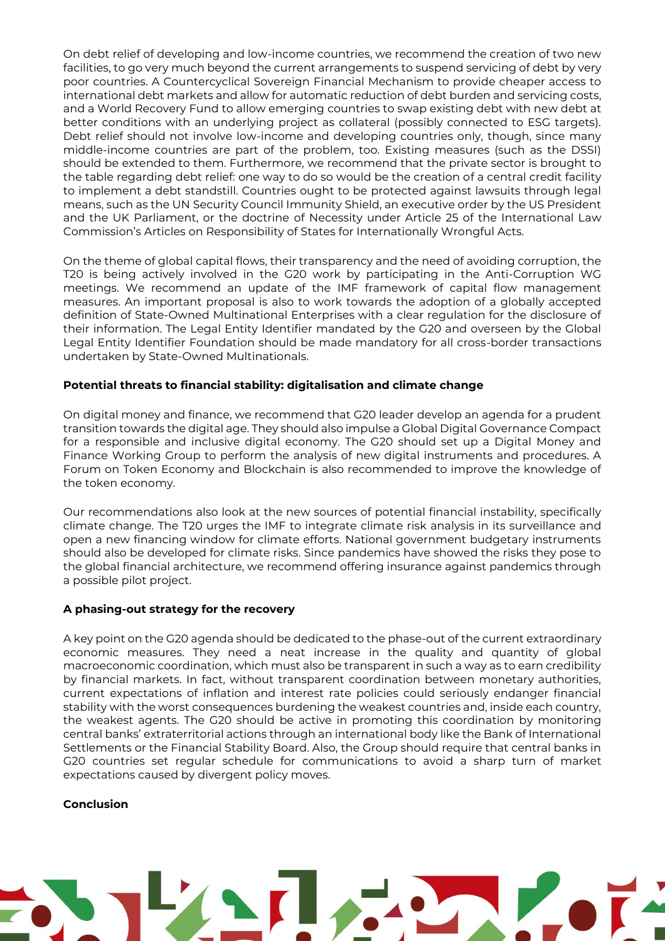On debt relief of developing and low-income countries, we recommend the creation of two new facilities, to go very much beyond the current arrangements to suspend servicing of debt by very poor countries. A Countercyclical Sovereign Financial Mechanism to provide cheaper access to international debt markets and allow for automatic reduction of debt burden and servicing costs, and a World Recovery Fund to allow emerging countries to swap existing debt with new debt at better conditions with an underlying project as collateral (possibly connected to ESG targets). Debt relief should not involve low-income and developing countries only, though, since many middle-income countries are part of the problem, too. Existing measures (such as the DSSI) should be extended to them. Furthermore, we recommend that the private sector is brought to the table regarding debt relief: one way to do so would be the creation of a central credit facility to implement a debt standstill. Countries ought to be protected against lawsuits through legal means, such as the UN Security Council Immunity Shield, an executive order by the US President and the UK Parliament, or the doctrine of Necessity under Article 25 of the International Law Commission's Articles on Responsibility of States for Internationally Wrongful Acts.

On the theme of global capital flows, their transparency and the need of avoiding corruption, the T20 is being actively involved in the G20 work by participating in the Anti-Corruption WG meetings. We recommend an update of the IMF framework of capital flow management measures. An important proposal is also to work towards the adoption of a globally accepted definition of State-Owned Multinational Enterprises with a clear regulation for the disclosure of their information. The Legal Entity Identifier mandated by the G20 and overseen by the Global Legal Entity Identifier Foundation should be made mandatory for all cross-border transactions undertaken by State-Owned Multinationals.

### **Potential threats to financial stability: digitalisation and climate change**

On digital money and finance, we recommend that G20 leader develop an agenda for a prudent transition towards the digital age. They should also impulse a Global Digital Governance Compact for a responsible and inclusive digital economy. The G20 should set up a Digital Money and Finance Working Group to perform the analysis of new digital instruments and procedures. A Forum on Token Economy and Blockchain is also recommended to improve the knowledge of the token economy.

Our recommendations also look at the new sources of potential financial instability, specifically climate change. The T20 urges the IMF to integrate climate risk analysis in its surveillance and open a new financing window for climate efforts. National government budgetary instruments should also be developed for climate risks. Since pandemics have showed the risks they pose to the global financial architecture, we recommend offering insurance against pandemics through a possible pilot project.

#### **A phasing-out strategy for the recovery**

A key point on the G20 agenda should be dedicated to the phase-out of the current extraordinary economic measures. They need a neat increase in the quality and quantity of global macroeconomic coordination, which must also be transparent in such a way as to earn credibility by financial markets. In fact, without transparent coordination between monetary authorities, current expectations of inflation and interest rate policies could seriously endanger financial stability with the worst consequences burdening the weakest countries and, inside each country, the weakest agents. The G20 should be active in promoting this coordination by monitoring central banks' extraterritorial actions through an international body like the Bank of International Settlements or the Financial Stability Board. Also, the Group should require that central banks in G20 countries set regular schedule for communications to avoid a sharp turn of market expectations caused by divergent policy moves.

#### **Conclusion**